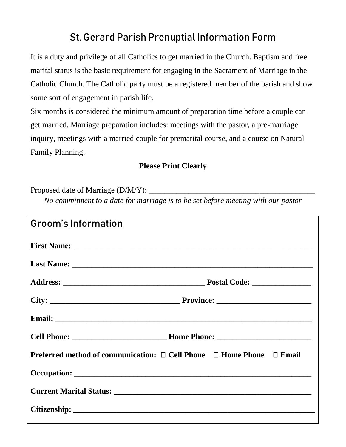## **St. Gerard Parish Prenuptial Information Form**

It is a duty and privilege of all Catholics to get married in the Church. Baptism and free marital status is the basic requirement for engaging in the Sacrament of Marriage in the Catholic Church. The Catholic party must be a registered member of the parish and show some sort of engagement in parish life.

Six months is considered the minimum amount of preparation time before a couple can get married. Marriage preparation includes: meetings with the pastor, a pre-marriage inquiry, meetings with a married couple for premarital course, and a course on Natural Family Planning.

## **Please Print Clearly**

Proposed date of Marriage (D/M/Y): \_

*No commitment to a date for marriage is to be set before meeting with our pastor*

| Groom's Information                                                  |
|----------------------------------------------------------------------|
|                                                                      |
|                                                                      |
|                                                                      |
|                                                                      |
|                                                                      |
|                                                                      |
| Preferred method of communication: □ Cell Phone □ Home Phone □ Email |
|                                                                      |
|                                                                      |
|                                                                      |
|                                                                      |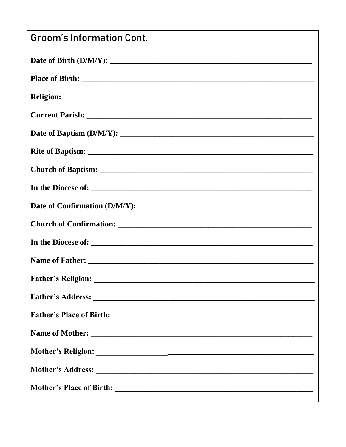| <b>Groom's Information Cont.</b> |
|----------------------------------|
|                                  |
|                                  |
|                                  |
|                                  |
|                                  |
|                                  |
|                                  |
|                                  |
|                                  |
|                                  |
|                                  |
|                                  |
|                                  |
|                                  |
|                                  |
|                                  |
|                                  |
|                                  |
|                                  |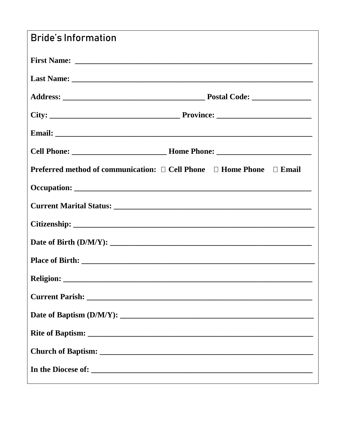| <b>Bride's Information</b>                                                                 |
|--------------------------------------------------------------------------------------------|
|                                                                                            |
|                                                                                            |
|                                                                                            |
|                                                                                            |
|                                                                                            |
|                                                                                            |
| <b>Preferred method of communication:</b> $\Box$ Cell Phone $\Box$ Home Phone $\Box$ Email |
|                                                                                            |
|                                                                                            |
|                                                                                            |
|                                                                                            |
|                                                                                            |
|                                                                                            |
|                                                                                            |
|                                                                                            |
|                                                                                            |
|                                                                                            |
|                                                                                            |